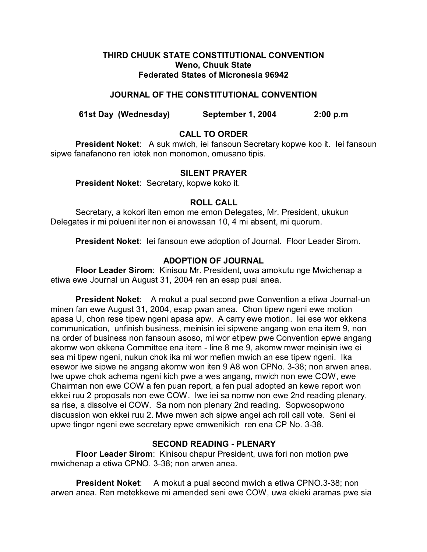## **THIRD CHUUK STATE CONSTITUTIONAL CONVENTION Weno, Chuuk State Federated States of Micronesia 96942**

# **JOURNAL OF THE CONSTITUTIONAL CONVENTION**

**61st Day (Wednesday) September 1, 2004 2:00 p.m**

# **CALL TO ORDER**

**President Noket**: A suk mwich, iei fansoun Secretary kopwe koo it. Iei fansoun sipwe fanafanono ren iotek non monomon, omusano tipis.

## **SILENT PRAYER**

**President Noket**: Secretary, kopwe koko it.

# **ROLL CALL**

Secretary, a kokori iten emon me emon Delegates, Mr. President, ukukun Delegates ir mi polueni iter non ei anowasan 10, 4 mi absent, mi quorum.

**President Noket**: Iei fansoun ewe adoption of Journal. Floor Leader Sirom.

# **ADOPTION OF JOURNAL**

**Floor Leader Sirom**: Kinisou Mr. President, uwa amokutu nge Mwichenap a etiwa ewe Journal un August 31, 2004 ren an esap pual anea.

**President Noket:** A mokut a pual second pwe Convention a etiwa Journal-un minen fan ewe August 31, 2004, esap pwan anea. Chon tipew ngeni ewe motion apasa U, chon rese tipew ngeni apasa apw. A carry ewe motion. Iei ese wor ekkena communication, unfinish business, meinisin iei sipwene angang won ena item 9, non na order of business non fansoun asoso, mi wor etipew pwe Convention epwe angang akomw won ekkena Committee ena item - line 8 me 9, akomw mwer meinisin iwe ei sea mi tipew ngeni, nukun chok ika mi wor mefien mwich an ese tipew ngeni. Ika esewor iwe sipwe ne angang akomw won iten 9 A8 won CPNo. 3-38; non arwen anea. Iwe upwe chok achema ngeni kich pwe a wes angang, mwich non ewe COW, ewe Chairman non ewe COW a fen puan report, a fen pual adopted an kewe report won ekkei ruu 2 proposals non ewe COW. Iwe iei sa nomw non ewe 2nd reading plenary, sa rise, a dissolve ei COW. Sa nom non plenary 2nd reading. Sopwosopwono discussion won ekkei ruu 2. Mwe mwen ach sipwe angei ach roll call vote. Seni ei upwe tingor ngeni ewe secretary epwe emwenikich ren ena CP No. 3-38.

# **SECOND READING - PLENARY**

**Floor Leader Sirom**: Kinisou chapur President, uwa fori non motion pwe mwichenap a etiwa CPNO. 3-38; non arwen anea.

**President Noket:** A mokut a pual second mwich a etiwa CPNO.3-38; non arwen anea. Ren metekkewe mi amended seni ewe COW, uwa ekieki aramas pwe sia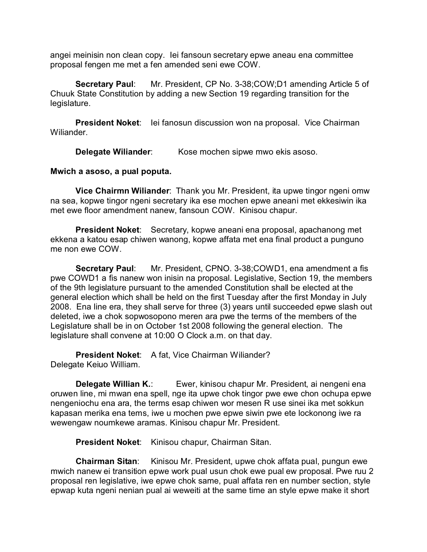angei meinisin non clean copy. Iei fansoun secretary epwe aneau ena committee proposal fengen me met a fen amended seni ewe COW.

**Secretary Paul**: Mr. President, CP No. 3-38;COW;D1 amending Article 5 of Chuuk State Constitution by adding a new Section 19 regarding transition for the legislature.

**President Noket:** lei fanosun discussion won na proposal. Vice Chairman Wiliander.

**Delegate Wiliander:** Kose mochen sipwe mwo ekis asoso.

## **Mwich a asoso, a pual poputa.**

**Vice Chairmn Wiliander**: Thank you Mr. President, ita upwe tingor ngeni omw na sea, kopwe tingor ngeni secretary ika ese mochen epwe aneani met ekkesiwin ika met ewe floor amendment nanew, fansoun COW. Kinisou chapur.

**President Noket**: Secretary, kopwe aneani ena proposal, apachanong met ekkena a katou esap chiwen wanong, kopwe affata met ena final product a punguno me non ewe COW.

**Secretary Paul**: Mr. President, CPNO. 3-38;COWD1, ena amendment a fis pwe COWD1 a fis nanew won inisin na proposal. Legislative, Section 19, the members of the 9th legislature pursuant to the amended Constitution shall be elected at the general election which shall be held on the first Tuesday after the first Monday in July 2008. Ena line era, they shall serve for three (3) years until succeeded epwe slash out deleted, iwe a chok sopwosopono meren ara pwe the terms of the members of the Legislature shall be in on October 1st 2008 following the general election. The legislature shall convene at 10:00 O Clock a.m. on that day.

**President Noket**: A fat, Vice Chairman Wiliander? Delegate Keiuo William.

**Delegate Willian K.:** Ewer, kinisou chapur Mr. President, ai nengeni ena oruwen line, mi mwan ena spell, nge ita upwe chok tingor pwe ewe chon ochupa epwe nengeniochu ena ara, the terms esap chiwen wor mesen R use sinei ika met sokkun kapasan merika ena tems, iwe u mochen pwe epwe siwin pwe ete lockonong iwe ra wewengaw noumkewe aramas. Kinisou chapur Mr. President.

**President Noket**: Kinisou chapur, Chairman Sitan.

**Chairman Sitan**: Kinisou Mr. President, upwe chok affata pual, pungun ewe mwich nanew ei transition epwe work pual usun chok ewe pual ew proposal. Pwe ruu 2 proposal ren legislative, iwe epwe chok same, pual affata ren en number section, style epwap kuta ngeni nenian pual ai weweiti at the same time an style epwe make it short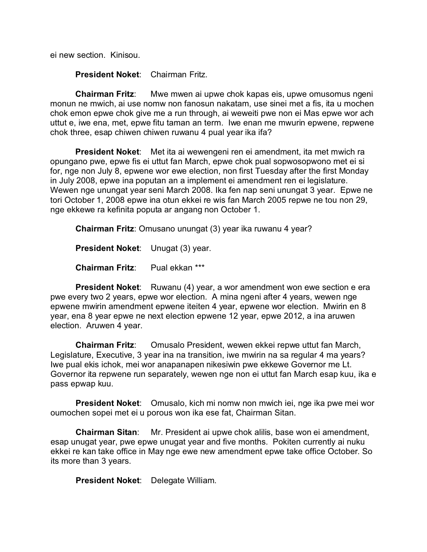ei new section. Kinisou.

**President Noket**: Chairman Fritz.

**Chairman Fritz**: Mwe mwen ai upwe chok kapas eis, upwe omusomus ngeni monun ne mwich, ai use nomw non fanosun nakatam, use sinei met a fis, ita u mochen chok emon epwe chok give me a run through, ai weweiti pwe non ei Mas epwe wor ach uttut e, iwe ena, met, epwe fitu taman an term. Iwe enan me mwurin epwene, repwene chok three, esap chiwen chiwen ruwanu 4 pual year ika ifa?

**President Noket**: Met ita ai wewengeni ren ei amendment, ita met mwich ra opungano pwe, epwe fis ei uttut fan March, epwe chok pual sopwosopwono met ei si for, nge non July 8, epwene wor ewe election, non first Tuesday after the first Monday in July 2008, epwe ina poputan an a implement ei amendment ren ei legislature. Wewen nge unungat year seni March 2008. Ika fen nap seni unungat 3 year. Epwe ne tori October 1, 2008 epwe ina otun ekkei re wis fan March 2005 repwe ne tou non 29, nge ekkewe ra kefinita poputa ar angang non October 1.

**Chairman Fritz**: Omusano unungat (3) year ika ruwanu 4 year?

**President Noket**: Unugat (3) year.

**Chairman Fritz**: Pual ekkan \*\*\*

**President Noket:** Ruwanu (4) year, a wor amendment won ewe section e era pwe every two 2 years, epwe wor election. A mina ngeni after 4 years, wewen nge epwene mwirin amendment epwene iteiten 4 year, epwene wor election. Mwirin en 8 year, ena 8 year epwe ne next election epwene 12 year, epwe 2012, a ina aruwen election. Aruwen 4 year.

**Chairman Fritz**: Omusalo President, wewen ekkei repwe uttut fan March, Legislature, Executive, 3 year ina na transition, iwe mwirin na sa regular 4 ma years? Iwe pual ekis ichok, mei wor anapanapen nikesiwin pwe ekkewe Governor me Lt. Governor ita repwene run separately, wewen nge non ei uttut fan March esap kuu, ika e pass epwap kuu.

**President Noket**: Omusalo, kich mi nomw non mwich iei, nge ika pwe mei wor oumochen sopei met ei u porous won ika ese fat, Chairman Sitan.

**Chairman Sitan**: Mr. President ai upwe chok alilis, base won ei amendment, esap unugat year, pwe epwe unugat year and five months. Pokiten currently ai nuku ekkei re kan take office in May nge ewe new amendment epwe take office October. So its more than 3 years.

**President Noket**: Delegate William.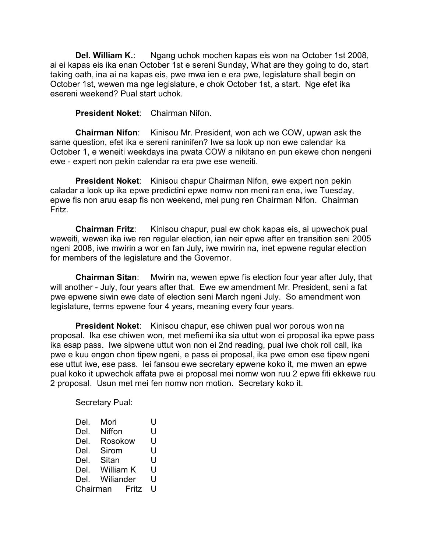**Del. William K.:** Ngang uchok mochen kapas eis won na October 1st 2008, ai ei kapas eis ika enan October 1st e sereni Sunday, What are they going to do, start taking oath, ina ai na kapas eis, pwe mwa ien e era pwe, legislature shall begin on October 1st, wewen ma nge legislature, e chok October 1st, a start. Nge efet ika esereni weekend? Pual start uchok.

**President Noket**: Chairman Nifon.

**Chairman Nifon**: Kinisou Mr. President, won ach we COW, upwan ask the same question, efet ika e sereni raninifen? Iwe sa look up non ewe calendar ika October 1, e weneiti weekdays ina pwata COW a nikitano en pun ekewe chon nengeni ewe - expert non pekin calendar ra era pwe ese weneiti.

**President Noket:** Kinisou chapur Chairman Nifon, ewe expert non pekin caladar a look up ika epwe predictini epwe nomw non meni ran ena, iwe Tuesday, epwe fis non aruu esap fis non weekend, mei pung ren Chairman Nifon. Chairman Fritz.

**Chairman Fritz**: Kinisou chapur, pual ew chok kapas eis, ai upwechok pual weweiti, wewen ika iwe ren regular election, ian neir epwe after en transition seni 2005 ngeni 2008, iwe mwirin a wor en fan July, iwe mwirin na, inet epwene regular election for members of the legislature and the Governor.

**Chairman Sitan**: Mwirin na, wewen epwe fis election four year after July, that will another - July, four years after that. Ewe ew amendment Mr. President, seni a fat pwe epwene siwin ewe date of election seni March ngeni July. So amendment won legislature, terms epwene four 4 years, meaning every four years.

**President Noket**: Kinisou chapur, ese chiwen pual wor porous won na proposal. Ika ese chiwen won, met mefiemi ika sia uttut won ei proposal ika epwe pass ika esap pass. Iwe sipwene uttut won non ei 2nd reading, pual iwe chok roll call, ika pwe e kuu engon chon tipew ngeni, e pass ei proposal, ika pwe emon ese tipew ngeni ese uttut iwe, ese pass. Iei fansou ewe secretary epwene koko it, me mwen an epwe pual koko it upwechok affata pwe ei proposal mei nomw won ruu 2 epwe fiti ekkewe ruu 2 proposal. Usun met mei fen nomw non motion. Secretary koko it.

Secretary Pual:

| Del.              | Mori      |   | U |
|-------------------|-----------|---|---|
| Del.              | Niffon    |   | U |
| Del.              | Rosokow   |   | U |
| Del.              | Sirom     |   | U |
| Del.              | Sitan     |   | U |
| Del.              | William K |   | U |
| Del.              | Wiliander |   | U |
| Chairman<br>Fritz |           | U |   |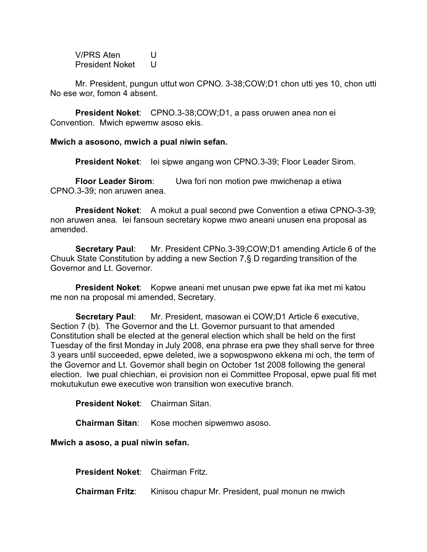V/PRS Aten U President Noket U

Mr. President, pungun uttut won CPNO. 3-38;COW;D1 chon utti yes 10, chon utti No ese wor, fomon 4 absent.

**President Noket**: CPNO.3-38;COW;D1, a pass oruwen anea non ei Convention. Mwich epwemw asoso ekis.

**Mwich a asosono, mwich a pual niwin sefan.**

**President Noket**: Iei sipwe angang won CPNO.3-39; Floor Leader Sirom.

**Floor Leader Sirom**: Uwa fori non motion pwe mwichenap a etiwa CPNO.3-39; non aruwen anea.

**President Noket:** A mokut a pual second pwe Convention a etiwa CPNO-3-39; non aruwen anea. Iei fansoun secretary kopwe mwo aneani unusen ena proposal as amended.

**Secretary Paul**: Mr. President CPNo.3-39;COW;D1 amending Article 6 of the Chuuk State Constitution by adding a new Section 7,§ D regarding transition of the Governor and Lt. Governor.

**President Noket:** Kopwe aneani met unusan pwe epwe fat ika met mi katou me non na proposal mi amended, Secretary.

**Secretary Paul**: Mr. President, masowan ei COW;D1 Article 6 executive, Section 7 (b). The Governor and the Lt. Governor pursuant to that amended Constitution shall be elected at the general election which shall be held on the first Tuesday of the first Monday in July 2008, ena phrase era pwe they shall serve for three 3 years until succeeded, epwe deleted, iwe a sopwospwono ekkena mi och, the term of the Governor and Lt. Governor shall begin on October 1st 2008 following the general election. Iwe pual chiechian, ei provision non ei Committee Proposal, epwe pual fiti met mokutukutun ewe executive won transition won executive branch.

**President Noket**: Chairman Sitan.

**Chairman Sitan**: Kose mochen sipwemwo asoso.

**Mwich a asoso, a pual niwin sefan.**

**President Noket**: Chairman Fritz.

**Chairman Fritz**: Kinisou chapur Mr. President, pual monun ne mwich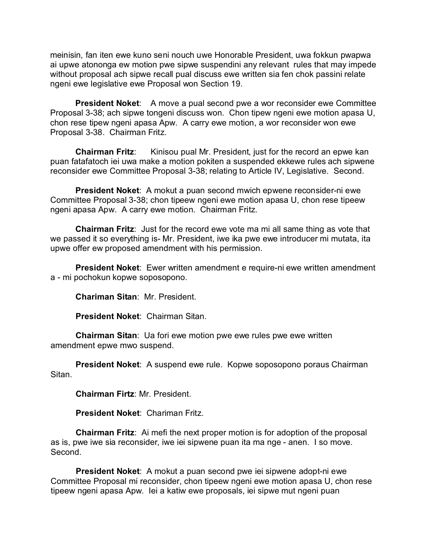meinisin, fan iten ewe kuno seni nouch uwe Honorable President, uwa fokkun pwapwa ai upwe atononga ew motion pwe sipwe suspendini any relevant rules that may impede without proposal ach sipwe recall pual discuss ewe written sia fen chok passini relate ngeni ewe legislative ewe Proposal won Section 19.

**President Noket:** A move a pual second pwe a wor reconsider ewe Committee Proposal 3-38; ach sipwe tongeni discuss won. Chon tipew ngeni ewe motion apasa U, chon rese tipew ngeni apasa Apw. A carry ewe motion, a wor reconsider won ewe Proposal 3-38. Chairman Fritz.

**Chairman Fritz:** Kinisou pual Mr. President, just for the record an epwe kan puan fatafatoch iei uwa make a motion pokiten a suspended ekkewe rules ach sipwene reconsider ewe Committee Proposal 3-38; relating to Article IV, Legislative. Second.

**President Noket**: A mokut a puan second mwich epwene reconsider-ni ewe Committee Proposal 3-38; chon tipeew ngeni ewe motion apasa U, chon rese tipeew ngeni apasa Apw. A carry ewe motion. Chairman Fritz.

**Chairman Fritz**: Just for the record ewe vote ma mi all same thing as vote that we passed it so everything is- Mr. President, iwe ika pwe ewe introducer mi mutata, ita upwe offer ew proposed amendment with his permission.

**President Noket**: Ewer written amendment e require-ni ewe written amendment a - mi pochokun kopwe soposopono.

**Chariman Sitan**: Mr. President.

**President Noket**: Chairman Sitan.

**Chairman Sitan**: Ua fori ewe motion pwe ewe rules pwe ewe written amendment epwe mwo suspend.

**President Noket**: A suspend ewe rule. Kopwe soposopono poraus Chairman Sitan.

**Chairman Firtz**: Mr. President.

**President Noket**: Chariman Fritz.

**Chairman Fritz**: Ai mefi the next proper motion is for adoption of the proposal as is, pwe iwe sia reconsider, iwe iei sipwene puan ita ma nge - anen. I so move. Second.

**President Noket**: A mokut a puan second pwe iei sipwene adopt-ni ewe Committee Proposal mi reconsider, chon tipeew ngeni ewe motion apasa U, chon rese tipeew ngeni apasa Apw. Iei a katiw ewe proposals, iei sipwe mut ngeni puan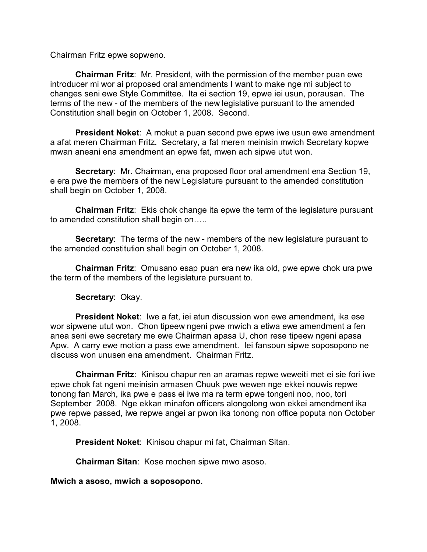Chairman Fritz epwe sopweno.

**Chairman Fritz**: Mr. President, with the permission of the member puan ewe introducer mi wor ai proposed oral amendments I want to make nge mi subject to changes seni ewe Style Committee. Ita ei section 19, epwe iei usun, porausan. The terms of the new - of the members of the new legislative pursuant to the amended Constitution shall begin on October 1, 2008. Second.

**President Noket**: A mokut a puan second pwe epwe iwe usun ewe amendment a afat meren Chairman Fritz. Secretary, a fat meren meinisin mwich Secretary kopwe mwan aneani ena amendment an epwe fat, mwen ach sipwe utut won.

**Secretary**: Mr. Chairman, ena proposed floor oral amendment ena Section 19, e era pwe the members of the new Legislature pursuant to the amended constitution shall begin on October 1, 2008.

**Chairman Fritz**: Ekis chok change ita epwe the term of the legislature pursuant to amended constitution shall begin on…..

**Secretary**: The terms of the new - members of the new legislature pursuant to the amended constitution shall begin on October 1, 2008.

**Chairman Fritz**: Omusano esap puan era new ika old, pwe epwe chok ura pwe the term of the members of the legislature pursuant to.

### **Secretary**: Okay.

**President Noket**: Iwe a fat, iei atun discussion won ewe amendment, ika ese wor sipwene utut won. Chon tipeew ngeni pwe mwich a etiwa ewe amendment a fen anea seni ewe secretary me ewe Chairman apasa U, chon rese tipeew ngeni apasa Apw. A carry ewe motion a pass ewe amendment. Iei fansoun sipwe soposopono ne discuss won unusen ena amendment. Chairman Fritz.

**Chairman Fritz**: Kinisou chapur ren an aramas repwe weweiti met ei sie fori iwe epwe chok fat ngeni meinisin armasen Chuuk pwe wewen nge ekkei nouwis repwe tonong fan March, ika pwe e pass ei iwe ma ra term epwe tongeni noo, noo, tori September 2008. Nge ekkan minafon officers alongolong won ekkei amendment ika pwe repwe passed, iwe repwe angei ar pwon ika tonong non office poputa non October 1, 2008.

**President Noket**: Kinisou chapur mi fat, Chairman Sitan.

**Chairman Sitan**: Kose mochen sipwe mwo asoso.

**Mwich a asoso, mwich a soposopono.**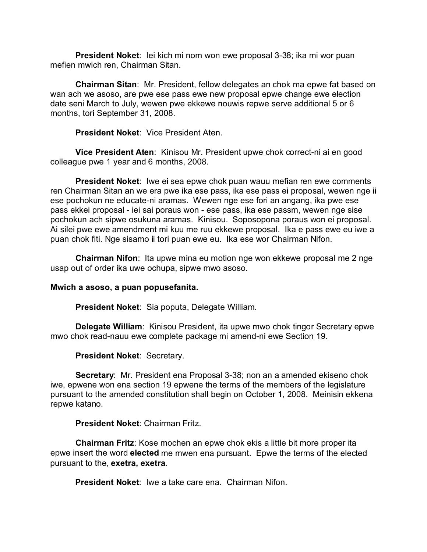**President Noket**: Iei kich mi nom won ewe proposal 3-38; ika mi wor puan mefien mwich ren, Chairman Sitan.

**Chairman Sitan**: Mr. President, fellow delegates an chok ma epwe fat based on wan ach we asoso, are pwe ese pass ewe new proposal epwe change ewe election date seni March to July, wewen pwe ekkewe nouwis repwe serve additional 5 or 6 months, tori September 31, 2008.

**President Noket**: Vice President Aten.

**Vice President Aten**: Kinisou Mr. President upwe chok correct-ni ai en good colleague pwe 1 year and 6 months, 2008.

**President Noket**: Iwe ei sea epwe chok puan wauu mefian ren ewe comments ren Chairman Sitan an we era pwe ika ese pass, ika ese pass ei proposal, wewen nge ii ese pochokun ne educate-ni aramas. Wewen nge ese fori an angang, ika pwe ese pass ekkei proposal - iei sai poraus won - ese pass, ika ese passm, wewen nge sise pochokun ach sipwe osukuna aramas. Kinisou. Soposopona poraus won ei proposal. Ai silei pwe ewe amendment mi kuu me ruu ekkewe proposal. Ika e pass ewe eu iwe a puan chok fiti. Nge sisamo ii tori puan ewe eu. Ika ese wor Chairman Nifon.

**Chairman Nifon**: Ita upwe mina eu motion nge won ekkewe proposal me 2 nge usap out of order ika uwe ochupa, sipwe mwo asoso.

### **Mwich a asoso, a puan popusefanita.**

**President Noket**: Sia poputa, Delegate William.

**Delegate William**: Kinisou President, ita upwe mwo chok tingor Secretary epwe mwo chok read-nauu ewe complete package mi amend-ni ewe Section 19.

**President Noket**: Secretary.

**Secretary**: Mr. President ena Proposal 3-38; non an a amended ekiseno chok iwe, epwene won ena section 19 epwene the terms of the members of the legislature pursuant to the amended constitution shall begin on October 1, 2008. Meinisin ekkena repwe katano.

# **President Noket**: Chairman Fritz.

**Chairman Fritz**: Kose mochen an epwe chok ekis a little bit more proper ita epwe insert the word **elected** me mwen ena pursuant. Epwe the terms of the elected pursuant to the, **exetra, exetra**.

**President Noket**: Iwe a take care ena. Chairman Nifon.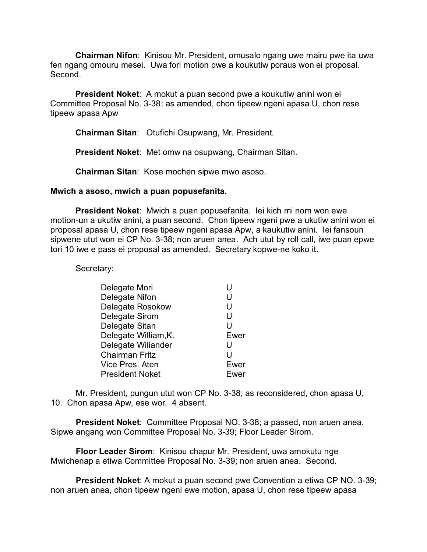**Chairman Nifon**: Kinisou Mr. President, omusalo ngang uwe mairu pwe ita uwa fen ngang omouru mesei. Uwa fori motion pwe a koukutiw poraus won ei proposal. Second.

**President Noket**: A mokut a puan second pwe a koukutiw anini won ei Committee Proposal No. 3-38; as amended, chon tipeew ngeni apasa U, chon rese tipeew apasa Apw

**Chairman Sitan**: Otufichi Osupwang, Mr. President.

**President Noket**: Met omw na osupwang, Chairman Sitan.

**Chairman Sitan**: Kose mochen sipwe mwo asoso.

#### **Mwich a asoso, mwich a puan popusefanita.**

**President Noket**: Mwich a puan popusefanita. Iei kich mi nom won ewe motion-un a ukutiw anini, a puan second. Chon tipeew ngeni pwe a ukutiw anini won ei proposal apasa U, chon rese tipeew ngeni apasa Apw, a kaukutiw anini. Iei fansoun sipwene utut won ei CP No. 3-38; non aruen anea. Ach utut by roll call, iwe puan epwe tori 10 iwe e pass ei proposal as amended. Secretary kopwe-ne koko it.

Secretary:

| Delegate Mori           | U    |
|-------------------------|------|
| Delegate Nifon          | U    |
| <b>Delegate Rosokow</b> | U    |
| Delegate Sirom          | U    |
| Delegate Sitan          | U    |
| Delegate William, K.    | Ewer |
| Delegate Wiliander      | U    |
| <b>Chairman Fritz</b>   | U    |
| Vice Pres. Aten         | Ewer |
| <b>President Noket</b>  | Ewer |

Mr. President, pungun utut won CP No. 3-38; as reconsidered, chon apasa U, 10. Chon apasa Apw, ese wor. 4 absent.

**President Noket**: Committee Proposal NO. 3-38; a passed, non aruen anea. Sipwe angang won Committee Proposal No. 3-39; Floor Leader Sirom.

**Floor Leader Sirom**: Kinisou chapur Mr. President, uwa amokutu nge Mwichenap a etiwa Committee Proposal No. 3-39; non aruen anea. Second.

**President Noket**: A mokut a puan second pwe Convention a etiwa CP NO. 3-39; non aruen anea, chon tipeew ngeni ewe motion, apasa U, chon rese tipeew apasa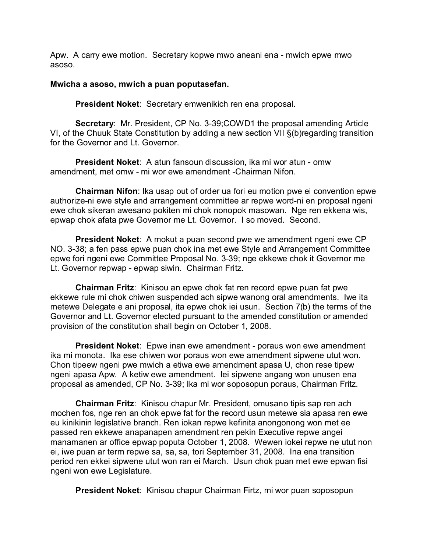Apw. A carry ewe motion. Secretary kopwe mwo aneani ena - mwich epwe mwo asoso.

### **Mwicha a asoso, mwich a puan poputasefan.**

**President Noket**: Secretary emwenikich ren ena proposal.

**Secretary**: Mr. President, CP No. 3-39;COWD1 the proposal amending Article VI, of the Chuuk State Constitution by adding a new section VII §(b)regarding transition for the Governor and Lt. Governor.

**President Noket**: A atun fansoun discussion, ika mi wor atun - omw amendment, met omw - mi wor ewe amendment -Chairman Nifon.

**Chairman Nifon**: Ika usap out of order ua fori eu motion pwe ei convention epwe authorize-ni ewe style and arrangement committee ar repwe word-ni en proposal ngeni ewe chok sikeran awesano pokiten mi chok nonopok masowan. Nge ren ekkena wis, epwap chok afata pwe Governor me Lt. Governor. I so moved. Second.

**President Noket**: A mokut a puan second pwe we amendment ngeni ewe CP NO. 3-38; a fen pass epwe puan chok ina met ewe Style and Arrangement Committee epwe fori ngeni ewe Committee Proposal No. 3-39; nge ekkewe chok it Governor me Lt. Governor repwap - epwap siwin. Chairman Fritz.

**Chairman Fritz**: Kinisou an epwe chok fat ren record epwe puan fat pwe ekkewe rule mi chok chiwen suspended ach sipwe wanong oral amendments. Iwe ita metewe Delegate e ani proposal, ita epwe chok iei usun. Section 7(b) the terms of the Governor and Lt. Governor elected pursuant to the amended constitution or amended provision of the constitution shall begin on October 1, 2008.

**President Noket**: Epwe inan ewe amendment - poraus won ewe amendment ika mi monota. Ika ese chiwen wor poraus won ewe amendment sipwene utut won. Chon tipeew ngeni pwe mwich a etiwa ewe amendment apasa U, chon rese tipew ngeni apasa Apw. A ketiw ewe amendment. Iei sipwene angang won unusen ena proposal as amended, CP No. 3-39; Ika mi wor soposopun poraus, Chairman Fritz.

**Chairman Fritz**: Kinisou chapur Mr. President, omusano tipis sap ren ach mochen fos, nge ren an chok epwe fat for the record usun metewe sia apasa ren ewe eu kinikinin legislative branch. Ren iokan repwe kefinita anongonong won met ee passed ren ekkewe anapanapen amendment ren pekin Executive repwe angei manamanen ar office epwap poputa October 1, 2008. Wewen iokei repwe ne utut non ei, iwe puan ar term repwe sa, sa, sa, tori September 31, 2008. Ina ena transition period ren ekkei sipwene utut won ran ei March. Usun chok puan met ewe epwan fisi ngeni won ewe Legislature.

**President Noket**: Kinisou chapur Chairman Firtz, mi wor puan soposopun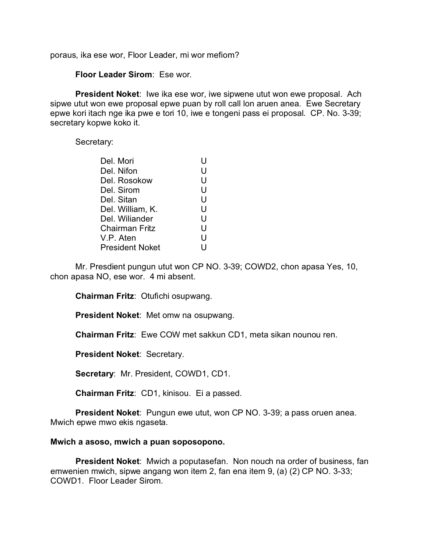poraus, ika ese wor, Floor Leader, mi wor mefiom?

**Floor Leader Sirom**: Ese wor.

**President Noket**: Iwe ika ese wor, iwe sipwene utut won ewe proposal. Ach sipwe utut won ewe proposal epwe puan by roll call lon aruen anea. Ewe Secretary epwe kori itach nge ika pwe e tori 10, iwe e tongeni pass ei proposal. CP. No. 3-39; secretary kopwe koko it.

Secretary:

| Del. Mori              |   |
|------------------------|---|
| Del. Nifon             | U |
| Del. Rosokow           | U |
| Del. Sirom             | U |
| Del. Sitan             | U |
| Del. William, K.       | U |
| Del. Wiliander         | U |
| <b>Chairman Fritz</b>  | U |
| V.P. Aten              | U |
| <b>President Noket</b> | U |

Mr. Presdient pungun utut won CP NO. 3-39; COWD2, chon apasa Yes, 10, chon apasa NO, ese wor. 4 mi absent.

**Chairman Fritz**: Otufichi osupwang.

**President Noket**: Met omw na osupwang.

**Chairman Fritz**: Ewe COW met sakkun CD1, meta sikan nounou ren.

**President Noket**: Secretary.

**Secretary**: Mr. President, COWD1, CD1.

**Chairman Fritz**: CD1, kinisou. Ei a passed.

**President Noket**: Pungun ewe utut, won CP NO. 3-39; a pass oruen anea. Mwich epwe mwo ekis ngaseta.

#### **Mwich a asoso, mwich a puan soposopono.**

**President Noket**: Mwich a poputasefan. Non nouch na order of business, fan emwenien mwich, sipwe angang won item 2, fan ena item 9, (a) (2) CP NO. 3-33; COWD1. Floor Leader Sirom.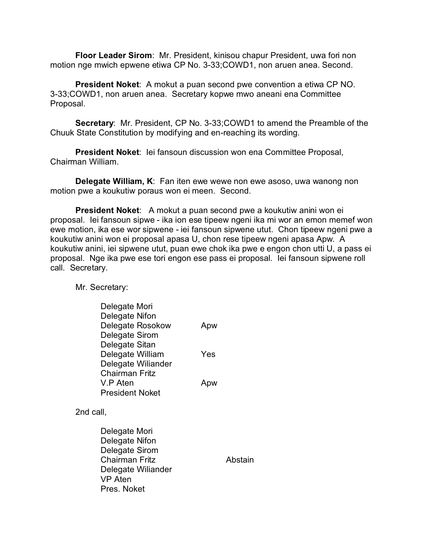**Floor Leader Sirom**: Mr. President, kinisou chapur President, uwa fori non motion nge mwich epwene etiwa CP No. 3-33;COWD1, non aruen anea. Second.

**President Noket**: A mokut a puan second pwe convention a etiwa CP NO. 3-33;COWD1, non aruen anea. Secretary kopwe mwo aneani ena Committee Proposal.

**Secretary**: Mr. President, CP No. 3-33;COWD1 to amend the Preamble of the Chuuk State Constitution by modifying and en-reaching its wording.

**President Noket**: Iei fansoun discussion won ena Committee Proposal, Chairman William.

**Delegate William, K**: Fan iten ewe wewe non ewe asoso, uwa wanong non motion pwe a koukutiw poraus won ei meen. Second.

**President Noket**: A mokut a puan second pwe a koukutiw anini won ei proposal. Iei fansoun sipwe - ika ion ese tipeew ngeni ika mi wor an emon memef won ewe motion, ika ese wor sipwene - iei fansoun sipwene utut. Chon tipeew ngeni pwe a koukutiw anini won ei proposal apasa U, chon rese tipeew ngeni apasa Apw. A koukutiw anini, iei sipwene utut, puan ewe chok ika pwe e engon chon utti U, a pass ei proposal. Nge ika pwe ese tori engon ese pass ei proposal. Iei fansoun sipwene roll call. Secretary.

Mr. Secretary:

| Delegate Mori<br>Delegate Nifon<br>Delegate Rosokow                                                                        | Apw     |
|----------------------------------------------------------------------------------------------------------------------------|---------|
| Delegate Sirom<br>Delegate Sitan                                                                                           |         |
| Delegate William<br>Delegate Wiliander                                                                                     | Yes     |
| <b>Chairman Fritz</b><br>V.P Aten<br><b>President Noket</b>                                                                | Apw     |
| 2nd call,                                                                                                                  |         |
| Delegate Mori<br>Delegate Nifon<br>Delegate Sirom<br>Chairman Fritz<br>Delegate Wiliander<br><b>VP</b> Aten<br>Pres. Noket | Abstain |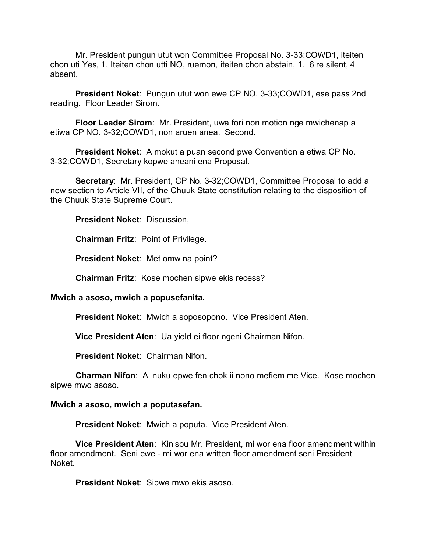Mr. President pungun utut won Committee Proposal No. 3-33;COWD1, iteiten chon uti Yes, 1. Iteiten chon utti NO, ruemon, iteiten chon abstain, 1. 6 re silent, 4 absent.

**President Noket**: Pungun utut won ewe CP NO. 3-33;COWD1, ese pass 2nd reading. Floor Leader Sirom.

**Floor Leader Sirom**: Mr. President, uwa fori non motion nge mwichenap a etiwa CP NO. 3-32;COWD1, non aruen anea. Second.

**President Noket**: A mokut a puan second pwe Convention a etiwa CP No. 3-32;COWD1, Secretary kopwe aneani ena Proposal.

**Secretary**: Mr. President, CP No. 3-32;COWD1, Committee Proposal to add a new section to Article VII, of the Chuuk State constitution relating to the disposition of the Chuuk State Supreme Court.

**President Noket**: Discussion,

**Chairman Fritz**: Point of Privilege.

**President Noket**: Met omw na point?

**Chairman Fritz**: Kose mochen sipwe ekis recess?

#### **Mwich a asoso, mwich a popusefanita.**

**President Noket**: Mwich a soposopono. Vice President Aten.

**Vice President Aten**: Ua yield ei floor ngeni Chairman Nifon.

**President Noket**: Chairman Nifon.

**Charman Nifon**: Ai nuku epwe fen chok ii nono mefiem me Vice. Kose mochen sipwe mwo asoso.

#### **Mwich a asoso, mwich a poputasefan.**

**President Noket**: Mwich a poputa. Vice President Aten.

**Vice President Aten**: Kinisou Mr. President, mi wor ena floor amendment within floor amendment. Seni ewe - mi wor ena written floor amendment seni President Noket.

**President Noket**: Sipwe mwo ekis asoso.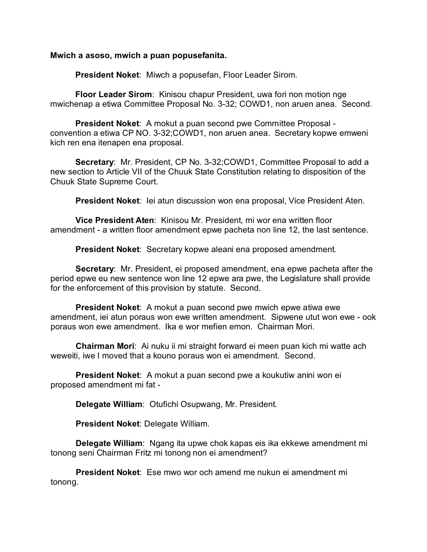### **Mwich a asoso, mwich a puan popusefanita.**

**President Noket**: Miwch a popusefan, Floor Leader Sirom.

**Floor Leader Sirom**: Kinisou chapur President, uwa fori non motion nge mwichenap a etiwa Committee Proposal No. 3-32; COWD1, non aruen anea. Second.

**President Noket**: A mokut a puan second pwe Committee Proposal convention a etiwa CP NO. 3-32;COWD1, non aruen anea. Secretary kopwe emweni kich ren ena itenapen ena proposal.

**Secretary**: Mr. President, CP No. 3-32;COWD1, Committee Proposal to add a new section to Article VII of the Chuuk State Constitution relating to disposition of the Chuuk State Supreme Court.

**President Noket**: Iei atun discussion won ena proposal, Vice President Aten.

**Vice President Aten**: Kinisou Mr. President, mi wor ena written floor amendment - a written floor amendment epwe pacheta non line 12, the last sentence.

**President Noket**: Secretary kopwe aleani ena proposed amendment.

**Secretary**: Mr. President, ei proposed amendment, ena epwe pacheta after the period epwe eu new sentence won line 12 epwe ara pwe, the Legislature shall provide for the enforcement of this provision by statute. Second.

**President Noket**: A mokut a puan second pwe mwich epwe atiwa ewe amendment, iei atun poraus won ewe written amendment. Sipwene utut won ewe - ook poraus won ewe amendment. Ika e wor mefien emon. Chairman Mori.

**Chairman Mori**: Ai nuku ii mi straight forward ei meen puan kich mi watte ach weweiti, iwe I moved that a kouno poraus won ei amendment. Second.

**President Noket**: A mokut a puan second pwe a koukutiw anini won ei proposed amendment mi fat -

**Delegate William**: Otufichi Osupwang, Mr. President.

**President Noket**: Delegate William.

**Delegate William**: Ngang ita upwe chok kapas eis ika ekkewe amendment mi tonong seni Chairman Fritz mi tonong non ei amendment?

**President Noket**: Ese mwo wor och amend me nukun ei amendment mi tonong.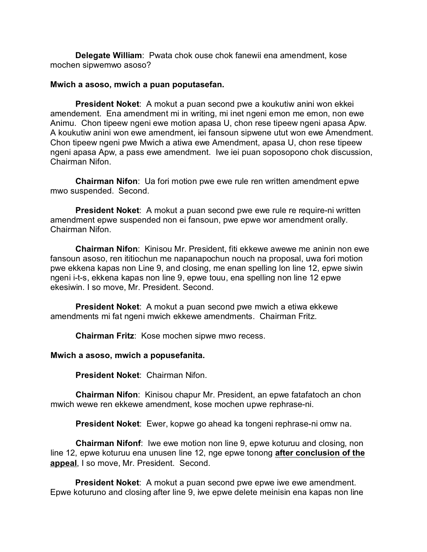**Delegate William**: Pwata chok ouse chok fanewii ena amendment, kose mochen sipwemwo asoso?

#### **Mwich a asoso, mwich a puan poputasefan.**

**President Noket**: A mokut a puan second pwe a koukutiw anini won ekkei amendement. Ena amendment mi in writing, mi inet ngeni emon me emon, non ewe Animu. Chon tipeew ngeni ewe motion apasa U, chon rese tipeew ngeni apasa Apw. A koukutiw anini won ewe amendment, iei fansoun sipwene utut won ewe Amendment. Chon tipeew ngeni pwe Mwich a atiwa ewe Amendment, apasa U, chon rese tipeew ngeni apasa Apw, a pass ewe amendment. Iwe iei puan soposopono chok discussion, Chairman Nifon.

**Chairman Nifon**: Ua fori motion pwe ewe rule ren written amendment epwe mwo suspended. Second.

**President Noket:** A mokut a puan second pwe ewe rule re require-ni written amendment epwe suspended non ei fansoun, pwe epwe wor amendment orally. Chairman Nifon.

**Chairman Nifon**: Kinisou Mr. President, fiti ekkewe awewe me aninin non ewe fansoun asoso, ren ititiochun me napanapochun nouch na proposal, uwa fori motion pwe ekkena kapas non Line 9, and closing, me enan spelling lon line 12, epwe siwin ngeni i-t-s, ekkena kapas non line 9, epwe touu, ena spelling non line 12 epwe ekesiwin. I so move, Mr. President. Second.

**President Noket**: A mokut a puan second pwe mwich a etiwa ekkewe amendments mi fat ngeni mwich ekkewe amendments. Chairman Fritz.

**Chairman Fritz**: Kose mochen sipwe mwo recess.

**Mwich a asoso, mwich a popusefanita.**

**President Noket**: Chairman Nifon.

**Chairman Nifon**: Kinisou chapur Mr. President, an epwe fatafatoch an chon mwich wewe ren ekkewe amendment, kose mochen upwe rephrase-ni.

**President Noket**: Ewer, kopwe go ahead ka tongeni rephrase-ni omw na.

**Chairman Nifonf**: Iwe ewe motion non line 9, epwe koturuu and closing, non line 12, epwe koturuu ena unusen line 12, nge epwe tonong **after conclusion of the appeal**, I so move, Mr. President. Second.

**President Noket**: A mokut a puan second pwe epwe iwe ewe amendment. Epwe koturuno and closing after line 9, iwe epwe delete meinisin ena kapas non line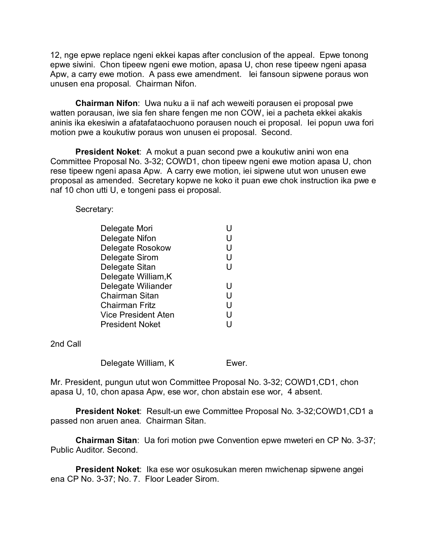12, nge epwe replace ngeni ekkei kapas after conclusion of the appeal. Epwe tonong epwe siwini. Chon tipeew ngeni ewe motion, apasa U, chon rese tipeew ngeni apasa Apw, a carry ewe motion. A pass ewe amendment. Iei fansoun sipwene poraus won unusen ena proposal. Chairman Nifon.

**Chairman Nifon**: Uwa nuku a ii naf ach weweiti porausen ei proposal pwe watten porausan, iwe sia fen share fengen me non COW, iei a pacheta ekkei akakis aninis ika ekesiwin a afatafataochuono porausen nouch ei proposal. Iei popun uwa fori motion pwe a koukutiw poraus won unusen ei proposal. Second.

**President Noket**: A mokut a puan second pwe a koukutiw anini won ena Committee Proposal No. 3-32; COWD1, chon tipeew ngeni ewe motion apasa U, chon rese tipeew ngeni apasa Apw. A carry ewe motion, iei sipwene utut won unusen ewe proposal as amended. Secretary kopwe ne koko it puan ewe chok instruction ika pwe e naf 10 chon utti U, e tongeni pass ei proposal.

Secretary:

| Delegate Mori          | U |
|------------------------|---|
| Delegate Nifon         | U |
| Delegate Rosokow       | U |
| Delegate Sirom         | U |
| Delegate Sitan         | U |
| Delegate William, K    |   |
| Delegate Wiliander     | U |
| Chairman Sitan         | U |
| Chairman Fritz         | U |
| Vice President Aten    | U |
| <b>President Noket</b> | U |

2nd Call

Delegate William, K Ewer.

Mr. President, pungun utut won Committee Proposal No. 3-32; COWD1,CD1, chon apasa U, 10, chon apasa Apw, ese wor, chon abstain ese wor, 4 absent.

**President Noket**: Result-un ewe Committee Proposal No. 3-32;COWD1,CD1 a passed non aruen anea. Chairman Sitan.

**Chairman Sitan**: Ua fori motion pwe Convention epwe mweteri en CP No. 3-37; Public Auditor. Second.

**President Noket**: Ika ese wor osukosukan meren mwichenap sipwene angei ena CP No. 3-37; No. 7. Floor Leader Sirom.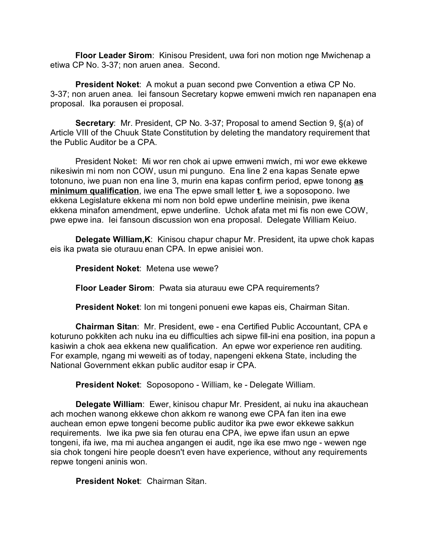**Floor Leader Sirom**: Kinisou President, uwa fori non motion nge Mwichenap a etiwa CP No. 3-37; non aruen anea. Second.

**President Noket**: A mokut a puan second pwe Convention a etiwa CP No. 3-37; non aruen anea. Iei fansoun Secretary kopwe emweni mwich ren napanapen ena proposal. Ika porausen ei proposal.

**Secretary**: Mr. President, CP No. 3-37; Proposal to amend Section 9, §(a) of Article VIII of the Chuuk State Constitution by deleting the mandatory requirement that the Public Auditor be a CPA.

President Noket: Mi wor ren chok ai upwe emweni mwich, mi wor ewe ekkewe nikesiwin mi nom non COW, usun mi punguno. Ena line 2 ena kapas Senate epwe totonuno, iwe puan non ena line 3, murin ena kapas confirm period, epwe tonong **as minimum qualification**, iwe ena The epwe small letter **t**, iwe a soposopono. Iwe ekkena Legislature ekkena mi nom non bold epwe underline meinisin, pwe ikena ekkena minafon amendment, epwe underline. Uchok afata met mi fis non ewe COW, pwe epwe ina. Iei fansoun discussion won ena proposal. Delegate William Keiuo.

**Delegate William,K**: Kinisou chapur chapur Mr. President, ita upwe chok kapas eis ika pwata sie oturauu enan CPA. In epwe anisiei won.

**President Noket**: Metena use wewe?

**Floor Leader Sirom**: Pwata sia aturauu ewe CPA requirements?

**President Noket**: Ion mi tongeni ponueni ewe kapas eis, Chairman Sitan.

**Chairman Sitan**: Mr. President, ewe - ena Certified Public Accountant, CPA e koturuno pokkiten ach nuku ina eu difficulties ach sipwe fill-ini ena position, ina popun a kasiwin a chok aea ekkena new qualification. An epwe wor experience ren auditing. For example, ngang mi weweiti as of today, napengeni ekkena State, including the National Government ekkan public auditor esap ir CPA.

**President Noket**: Soposopono - William, ke - Delegate William.

**Delegate William**: Ewer, kinisou chapur Mr. President, ai nuku ina akauchean ach mochen wanong ekkewe chon akkom re wanong ewe CPA fan iten ina ewe auchean emon epwe tongeni become public auditor ika pwe ewor ekkewe sakkun requirements. Iwe ika pwe sia fen oturau ena CPA, iwe epwe ifan usun an epwe tongeni, ifa iwe, ma mi auchea angangen ei audit, nge ika ese mwo nge - wewen nge sia chok tongeni hire people doesn't even have experience, without any requirements repwe tongeni aninis won.

**President Noket**: Chairman Sitan.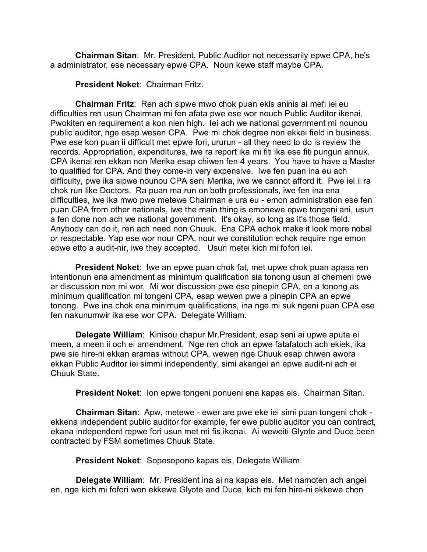**Chairman Sitan**: Mr. President, Public Auditor not necessarily epwe CPA, he's a administrator, ese necessary epwe CPA. Noun kewe staff maybe CPA.

**President Noket**: Chairman Fritz.

**Chairman Fritz**: Ren ach sipwe mwo chok puan ekis aninis ai mefi iei eu difficulties ren usun Chairman mi fen afata pwe ese wor nouch Public Auditor ikenai. Pwokiten en requirement a kon nien high. Iei ach we national government mi nounou public auditor, nge esap wesen CPA. Pwe mi chok degree non ekkei field in business. Pwe ese kon puan ii difficult met epwe fori, ururun - all they need to do is review the records. Appropriation, expenditures, iwe ra report ika mi fiti ika ese fiti pungun annuk. CPA ikenai ren ekkan non Merika esap chiwen fen 4 years. You have to have a Master to qualified for CPA. And they come-in very expensive. Iwe fen puan ina eu ach difficulty, pwe ika sipwe nounou CPA seni Merika, iwe we cannot afford it. Pwe iei ii ra chok run like Doctors. Ra puan ma run on both professionals, iwe fen ina ena difficulties, iwe ika mwo pwe metewe Chairman e ura eu - emon administration ese fen puan CPA from other nationals, iwe the main thing is emonewe epwe tongeni ani, usun a fen done non ach we national government. It's okay, so long as it's those field. Anybody can do it, ren ach need non Chuuk. Ena CPA echok make it look more nobal or respectable. Yap ese wor nour CPA, nour we constitution echok require nge emon epwe etto a audit-nir, iwe they accepted. Usun metei kich mi fofori iei.

**President Noket**: Iwe an epwe puan chok fat, met upwe chok puan apasa ren intentionun ena amendment as minimum qualification sia tonong usun ai chemeni pwe ar discussion non mi wor. Mi wor discussion pwe ese pinepin CPA, en a tonong as minimum qualification mi tongeni CPA, esap wewen pwe a pinepin CPA an epwe tonong. Pwe ina chok ena minimum qualifications, ina nge mi suk ngeni puan CPA ese fen nakunumwir ika ese wor CPA. Delegate William.

**Delegate William**: Kinisou chapur Mr.President, esap seni ai upwe aputa ei meen, a meen ii och ei amendment. Nge ren chok an epwe fatafatoch ach ekiek, ika pwe sie hire-ni ekkan aramas without CPA, wewen nge Chuuk esap chiwen awora ekkan Public Auditor iei simmi independently, simi akangei an epwe audit-ni ach ei Chuuk State.

**President Noket**: Ion epwe tongeni ponueni ena kapas eis. Chairman Sitan.

**Chairman Sitan**: Apw, metewe - ewer are pwe eke iei simi puan tongeni chok ekkena independent public auditor for example, fer ewe public auditor you can contract, ekana independent repwe fori usun met mi fis ikenai. Ai weweiti Glyote and Duce been contracted by FSM sometimes Chuuk State.

**President Noket**: Soposopono kapas eis, Delegate William.

**Delegate William**: Mr. President ina ai na kapas eis. Met namoten ach angei en, nge kich mi fofori won ekkewe Glyote and Duce, kich mi fen hire-ni ekkewe chon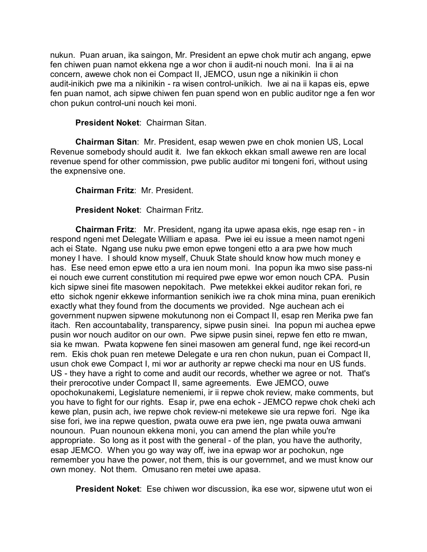nukun. Puan aruan, ika saingon, Mr. President an epwe chok mutir ach angang, epwe fen chiwen puan namot ekkena nge a wor chon ii audit-ni nouch moni. Ina ii ai na concern, awewe chok non ei Compact II, JEMCO, usun nge a nikinikin ii chon audit-inikich pwe ma a nikinikin - ra wisen control-unikich. Iwe ai na ii kapas eis, epwe fen puan namot, ach sipwe chiwen fen puan spend won en public auditor nge a fen wor chon pukun control-uni nouch kei moni.

**President Noket**: Chairman Sitan.

**Chairman Sitan**: Mr. President, esap wewen pwe en chok monien US, Local Revenue somebody should audit it. Iwe fan ekkoch ekkan small awewe ren are local revenue spend for other commission, pwe public auditor mi tongeni fori, without using the expnensive one.

**Chairman Fritz**: Mr. President.

**President Noket**: Chairman Fritz.

**Chairman Fritz**: Mr. President, ngang ita upwe apasa ekis, nge esap ren - in respond ngeni met Delegate William e apasa. Pwe iei eu issue a meen namot ngeni ach ei State. Ngang use nuku pwe emon epwe tongeni etto a ara pwe how much money I have. I should know myself, Chuuk State should know how much money e has. Ese need emon epwe etto a ura ien noum moni. Ina popun ika mwo sise pass-ni ei nouch ewe current constitution mi required pwe epwe wor emon nouch CPA. Pusin kich sipwe sinei fite masowen nepokitach. Pwe metekkei ekkei auditor rekan fori, re etto sichok ngenir ekkewe informantion senikich iwe ra chok mina mina, puan erenikich exactly what they found from the documents we provided. Nge auchean ach ei government nupwen sipwene mokutunong non ei Compact II, esap ren Merika pwe fan itach. Ren accountabality, transparency, sipwe pusin sinei. Ina popun mi auchea epwe pusin wor nouch auditor on our own. Pwe sipwe pusin sinei, repwe fen etto re mwan, sia ke mwan. Pwata kopwene fen sinei masowen am general fund, nge ikei record-un rem. Ekis chok puan ren metewe Delegate e ura ren chon nukun, puan ei Compact II, usun chok ewe Compact I, mi wor ar authority ar repwe checki ma nour en US funds. US - they have a right to come and audit our records, whether we agree or not. That's their prerocotive under Compact II, same agreements. Ewe JEMCO, ouwe opochokunakemi, Legislature nemeniemi, ir ii repwe chok review, make comments, but you have to fight for our rights. Esap ir, pwe ena echok - JEMCO repwe chok cheki ach kewe plan, pusin ach, iwe repwe chok review-ni metekewe sie ura repwe fori. Nge ika sise fori, iwe ina repwe question, pwata ouwe era pwe ien, nge pwata ouwa amwani nounoun. Puan nounoun ekkena moni, you can amend the plan while you're appropriate. So long as it post with the general - of the plan, you have the authority, esap JEMCO. When you go way way off, iwe ina epwap wor ar pochokun, nge remember you have the power, not them, this is our governmet, and we must know our own money. Not them. Omusano ren metei uwe apasa.

**President Noket**: Ese chiwen wor discussion, ika ese wor, sipwene utut won ei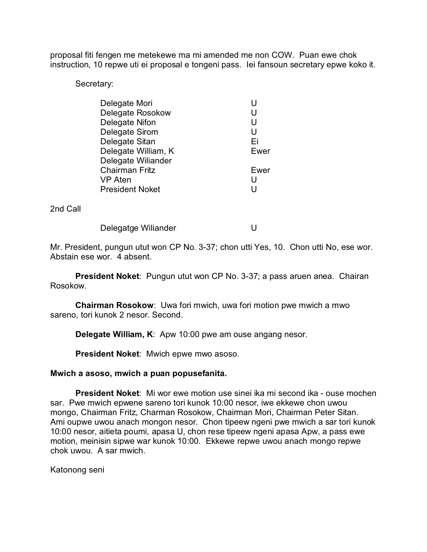proposal fiti fengen me metekewe ma mi amended me non COW. Puan ewe chok instruction, 10 repwe uti ei proposal e tongeni pass. Iei fansoun secretary epwe koko it.

Secretary:

| Delegate Mori          | U    |
|------------------------|------|
| Delegate Rosokow       | U    |
| Delegate Nifon         | U    |
| Delegate Sirom         | U    |
| Delegate Sitan         | Εi   |
| Delegate William, K    | Ewer |
| Delegate Wiliander     |      |
| <b>Chairman Fritz</b>  | Ewer |
| VP Aten                | U    |
| <b>President Noket</b> | U    |
|                        |      |

2nd Call

Delegatge Wiliander **U** 

Mr. President, pungun utut won CP No. 3-37; chon utti Yes, 10. Chon utti No, ese wor. Abstain ese wor. 4 absent.

**President Noket**: Pungun utut won CP No. 3-37; a pass aruen anea. Chairan Rosokow.

**Chairman Rosokow**: Uwa fori mwich, uwa fori motion pwe mwich a mwo sareno, tori kunok 2 nesor. Second.

**Delegate William, K**: Apw 10:00 pwe am ouse angang nesor.

**President Noket**: Mwich epwe mwo asoso.

### **Mwich a asoso, mwich a puan popusefanita.**

**President Noket**: Mi wor ewe motion use sinei ika mi second ika - ouse mochen sar. Pwe mwich epwene sareno tori kunok 10:00 nesor, iwe ekkewe chon uwou mongo, Chairman Fritz, Charman Rosokow, Chairman Mori, Chairman Peter Sitan. Ami oupwe uwou anach mongon nesor. Chon tipeew ngeni pwe mwich a sar tori kunok 10:00 nesor, aitieta poumi, apasa U, chon rese tipeew ngeni apasa Apw, a pass ewe motion, meinisin sipwe war kunok 10:00. Ekkewe repwe uwou anach mongo repwe chok uwou. A sar mwich.

Katonong seni